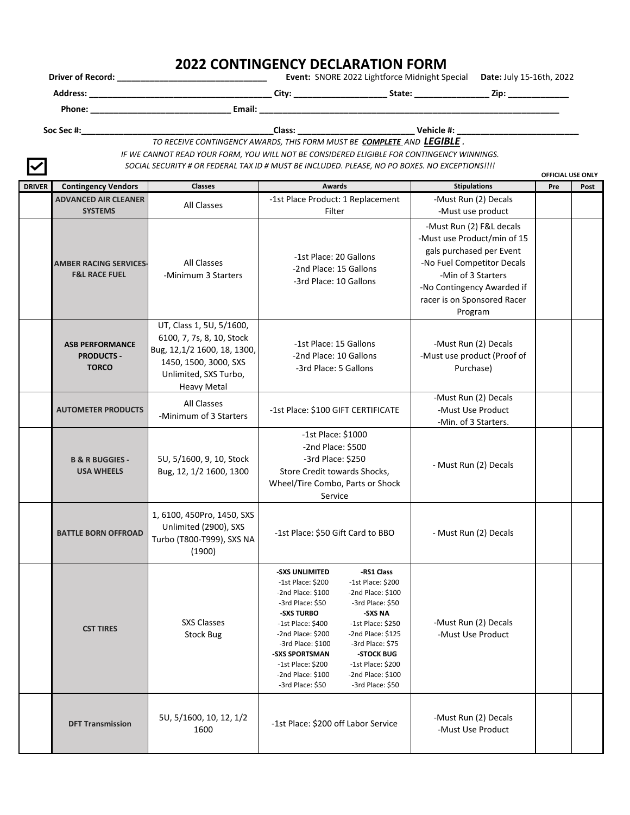## **2022 CONTINGENCY DECLARATION FORM**

**Driver of Record: \_\_\_\_\_\_\_\_\_\_\_\_\_\_\_\_\_\_\_\_\_\_\_\_\_\_\_\_\_\_\_\_ Event:** SNORE 2022 Lightforce Midnight Special **Date:** July 15-16th, 2022

**Address: \_\_\_\_\_\_\_\_\_\_\_\_\_\_\_\_\_\_\_\_\_\_\_\_\_\_\_\_\_\_\_\_\_\_\_\_\_\_\_ City: \_\_\_\_\_\_\_\_\_\_\_\_\_\_\_\_\_\_\_\_ State: \_\_\_\_\_\_\_\_\_\_\_\_\_\_\_\_ Zip: \_\_\_\_\_\_\_\_\_\_\_\_\_**

**Phone: \_\_\_\_\_\_\_\_\_\_\_\_\_\_\_\_\_\_\_\_\_\_\_\_\_\_\_\_\_\_ Email: \_\_\_\_\_\_\_\_\_\_\_\_\_\_\_\_\_\_\_\_\_\_\_\_\_\_\_\_\_\_\_\_\_\_\_\_\_\_\_\_\_\_\_\_\_\_\_\_\_\_\_\_\_\_\_\_\_\_\_\_\_\_\_\_** 

*TO RECEIVE CONTINGENCY AWARDS, THIS FORM MUST BE COMPLETE AND LEGIBLE .*  **Soc Sec #:\_\_\_\_\_\_\_\_\_\_\_\_\_\_\_\_\_\_\_\_\_\_\_\_\_\_\_\_\_\_\_\_\_\_\_\_\_\_\_\_\_Class: \_\_\_\_\_\_\_\_\_\_\_\_\_\_\_\_\_\_\_\_\_\_\_\_\_ Vehicle #: \_\_\_\_\_\_\_\_\_\_\_\_\_\_\_\_\_\_\_\_\_\_\_\_\_\_**

*IF WE CANNOT READ YOUR FORM, YOU WILL NOT BE CONSIDERED ELIGIBLE FOR CONTINGENCY WINNINGS. SOCIAL SECURITY # OR FEDERAL TAX ID # MUST BE INCLUDED. PLEASE, NO PO BOXES. NO EXCEPTIONS!!!!*

| $\sim$        |                                                             |                                                                                                                                                              |                                                                                                                                                                                                                                                                                                                                                                                                                                                                             |                                                                                                                                                                                                                 | <b>OFFICIAL USE ONLY</b> |      |
|---------------|-------------------------------------------------------------|--------------------------------------------------------------------------------------------------------------------------------------------------------------|-----------------------------------------------------------------------------------------------------------------------------------------------------------------------------------------------------------------------------------------------------------------------------------------------------------------------------------------------------------------------------------------------------------------------------------------------------------------------------|-----------------------------------------------------------------------------------------------------------------------------------------------------------------------------------------------------------------|--------------------------|------|
| <b>DRIVER</b> | <b>Contingency Vendors</b>                                  | <b>Classes</b>                                                                                                                                               | <b>Awards</b>                                                                                                                                                                                                                                                                                                                                                                                                                                                               | <b>Stipulations</b>                                                                                                                                                                                             | Pre                      | Post |
|               | <b>ADVANCED AIR CLEANER</b>                                 | All Classes                                                                                                                                                  | -1st Place Product: 1 Replacement                                                                                                                                                                                                                                                                                                                                                                                                                                           | -Must Run (2) Decals                                                                                                                                                                                            |                          |      |
|               | <b>SYSTEMS</b>                                              |                                                                                                                                                              | Filter                                                                                                                                                                                                                                                                                                                                                                                                                                                                      | -Must use product                                                                                                                                                                                               |                          |      |
|               | <b>AMBER RACING SERVICES-</b><br><b>F&amp;L RACE FUEL</b>   | <b>All Classes</b><br>-Minimum 3 Starters                                                                                                                    | -1st Place: 20 Gallons<br>-2nd Place: 15 Gallons<br>-3rd Place: 10 Gallons                                                                                                                                                                                                                                                                                                                                                                                                  | -Must Run (2) F&L decals<br>-Must use Product/min of 15<br>gals purchased per Event<br>-No Fuel Competitor Decals<br>-Min of 3 Starters<br>-No Contingency Awarded if<br>racer is on Sponsored Racer<br>Program |                          |      |
|               | <b>ASB PERFORMANCE</b><br><b>PRODUCTS -</b><br><b>TORCO</b> | UT, Class 1, 5U, 5/1600,<br>6100, 7, 7s, 8, 10, Stock<br>Bug, 12,1/2 1600, 18, 1300,<br>1450, 1500, 3000, SXS<br>Unlimited, SXS Turbo,<br><b>Heavy Metal</b> | -1st Place: 15 Gallons<br>-2nd Place: 10 Gallons<br>-3rd Place: 5 Gallons                                                                                                                                                                                                                                                                                                                                                                                                   | -Must Run (2) Decals<br>-Must use product (Proof of<br>Purchase)                                                                                                                                                |                          |      |
|               | <b>AUTOMETER PRODUCTS</b>                                   | All Classes<br>-Minimum of 3 Starters                                                                                                                        | -1st Place: \$100 GIFT CERTIFICATE                                                                                                                                                                                                                                                                                                                                                                                                                                          | -Must Run (2) Decals<br>-Must Use Product<br>-Min. of 3 Starters.                                                                                                                                               |                          |      |
|               | <b>B &amp; R BUGGIES -</b><br><b>USA WHEELS</b>             | 5U, 5/1600, 9, 10, Stock<br>Bug, 12, 1/2 1600, 1300                                                                                                          | -1st Place: \$1000<br>-2nd Place: \$500<br>-3rd Place: \$250<br>Store Credit towards Shocks,<br>Wheel/Tire Combo, Parts or Shock<br>Service                                                                                                                                                                                                                                                                                                                                 | - Must Run (2) Decals                                                                                                                                                                                           |                          |      |
|               | <b>BATTLE BORN OFFROAD</b>                                  | 1, 6100, 450Pro, 1450, SXS<br>Unlimited (2900), SXS<br>Turbo (T800-T999), SXS NA<br>(1900)                                                                   | -1st Place: \$50 Gift Card to BBO                                                                                                                                                                                                                                                                                                                                                                                                                                           | - Must Run (2) Decals                                                                                                                                                                                           |                          |      |
|               | <b>CST TIRES</b>                                            | <b>SXS Classes</b><br>Stock Bug                                                                                                                              | -RS1 Class<br>-SXS UNLIMITED<br>-1st Place: \$200<br>-1st Place: \$200<br>-2nd Place: \$100<br>-2nd Place: \$100<br>-3rd Place: \$50<br>-3rd Place: \$50<br>-SXS TURBO<br>-SXS NA<br>-1st Place: \$400<br>-1st Place: \$250<br>-2nd Place: \$200<br>-2nd Place: $$125$<br>-3rd Place: \$100<br>-3rd Place: \$75<br>-STOCK BUG<br>-SXS SPORTSMAN<br>-1st Place: \$200<br>-1st Place: \$200<br>-2nd Place: \$100<br>-2nd Place: \$100<br>-3rd Place: \$50<br>-3rd Place: \$50 | -Must Run (2) Decals<br>-Must Use Product                                                                                                                                                                       |                          |      |
|               | <b>DFT Transmission</b>                                     | 5U, 5/1600, 10, 12, 1/2<br>1600                                                                                                                              | -1st Place: \$200 off Labor Service                                                                                                                                                                                                                                                                                                                                                                                                                                         | -Must Run (2) Decals<br>-Must Use Product                                                                                                                                                                       |                          |      |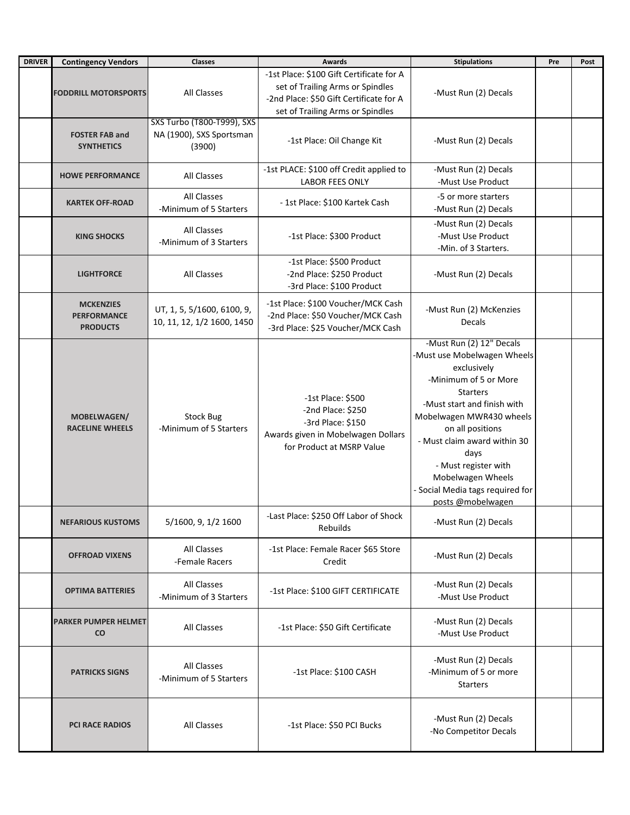| <b>DRIVER</b> | <b>Contingency Vendors</b>                                | <b>Classes</b>                                                          | <b>Awards</b>                                                                                                                                               | <b>Stipulations</b>                                                                                                                                                                                                                                                                                                                             | Pre | Post |
|---------------|-----------------------------------------------------------|-------------------------------------------------------------------------|-------------------------------------------------------------------------------------------------------------------------------------------------------------|-------------------------------------------------------------------------------------------------------------------------------------------------------------------------------------------------------------------------------------------------------------------------------------------------------------------------------------------------|-----|------|
|               | <b>FODDRILL MOTORSPORTS</b>                               | All Classes                                                             | -1st Place: \$100 Gift Certificate for A<br>set of Trailing Arms or Spindles<br>-2nd Place: \$50 Gift Certificate for A<br>set of Trailing Arms or Spindles | -Must Run (2) Decals                                                                                                                                                                                                                                                                                                                            |     |      |
|               | <b>FOSTER FAB and</b><br><b>SYNTHETICS</b>                | <b>SXS Turbo (T800-T999), SXS</b><br>NA (1900), SXS Sportsman<br>(3900) | -1st Place: Oil Change Kit                                                                                                                                  | -Must Run (2) Decals                                                                                                                                                                                                                                                                                                                            |     |      |
|               | <b>HOWE PERFORMANCE</b>                                   | <b>All Classes</b>                                                      | -1st PLACE: \$100 off Credit applied to<br><b>LABOR FEES ONLY</b>                                                                                           | -Must Run (2) Decals<br>-Must Use Product                                                                                                                                                                                                                                                                                                       |     |      |
|               | <b>KARTEK OFF-ROAD</b>                                    | <b>All Classes</b><br>-Minimum of 5 Starters                            | - 1st Place: \$100 Kartek Cash                                                                                                                              | -5 or more starters<br>-Must Run (2) Decals                                                                                                                                                                                                                                                                                                     |     |      |
|               | <b>KING SHOCKS</b>                                        | All Classes<br>-Minimum of 3 Starters                                   | -1st Place: \$300 Product                                                                                                                                   | -Must Run (2) Decals<br>-Must Use Product<br>-Min. of 3 Starters.                                                                                                                                                                                                                                                                               |     |      |
|               | <b>LIGHTFORCE</b>                                         | All Classes                                                             | -1st Place: \$500 Product<br>-2nd Place: \$250 Product<br>-3rd Place: \$100 Product                                                                         | -Must Run (2) Decals                                                                                                                                                                                                                                                                                                                            |     |      |
|               | <b>MCKENZIES</b><br><b>PERFORMANCE</b><br><b>PRODUCTS</b> | UT, 1, 5, 5/1600, 6100, 9,<br>10, 11, 12, 1/2 1600, 1450                | -1st Place: \$100 Voucher/MCK Cash<br>-2nd Place: \$50 Voucher/MCK Cash<br>-3rd Place: \$25 Voucher/MCK Cash                                                | -Must Run (2) McKenzies<br>Decals                                                                                                                                                                                                                                                                                                               |     |      |
|               | MOBELWAGEN/<br><b>RACELINE WHEELS</b>                     | <b>Stock Bug</b><br>-Minimum of 5 Starters                              | -1st Place: \$500<br>-2nd Place: \$250<br>-3rd Place: \$150<br>Awards given in Mobelwagen Dollars<br>for Product at MSRP Value                              | -Must Run (2) 12" Decals<br>-Must use Mobelwagen Wheels<br>exclusively<br>-Minimum of 5 or More<br><b>Starters</b><br>-Must start and finish with<br>Mobelwagen MWR430 wheels<br>on all positions<br>- Must claim award within 30<br>days<br>- Must register with<br>Mobelwagen Wheels<br>- Social Media tags required for<br>posts @mobelwagen |     |      |
|               | <b>NEFARIOUS KUSTOMS</b>                                  | 5/1600, 9, 1/2 1600                                                     | -Last Place: \$250 Off Labor of Shock<br><b>Rebuilds</b>                                                                                                    | -Must Run (2) Decals                                                                                                                                                                                                                                                                                                                            |     |      |
|               | <b>OFFROAD VIXENS</b>                                     | All Classes<br>-Female Racers                                           | -1st Place: Female Racer \$65 Store<br>Credit                                                                                                               | -Must Run (2) Decals                                                                                                                                                                                                                                                                                                                            |     |      |
|               | <b>OPTIMA BATTERIES</b>                                   | All Classes<br>-Minimum of 3 Starters                                   | -1st Place: \$100 GIFT CERTIFICATE                                                                                                                          | -Must Run (2) Decals<br>-Must Use Product                                                                                                                                                                                                                                                                                                       |     |      |
|               | <b>PARKER PUMPER HELMET</b><br><b>CO</b>                  | All Classes                                                             | -1st Place: \$50 Gift Certificate                                                                                                                           | -Must Run (2) Decals<br>-Must Use Product                                                                                                                                                                                                                                                                                                       |     |      |
|               | <b>PATRICKS SIGNS</b>                                     | All Classes<br>-Minimum of 5 Starters                                   | -1st Place: \$100 CASH                                                                                                                                      | -Must Run (2) Decals<br>-Minimum of 5 or more<br><b>Starters</b>                                                                                                                                                                                                                                                                                |     |      |
|               | PCI RACE RADIOS                                           | All Classes                                                             | -1st Place: \$50 PCI Bucks                                                                                                                                  | -Must Run (2) Decals<br>-No Competitor Decals                                                                                                                                                                                                                                                                                                   |     |      |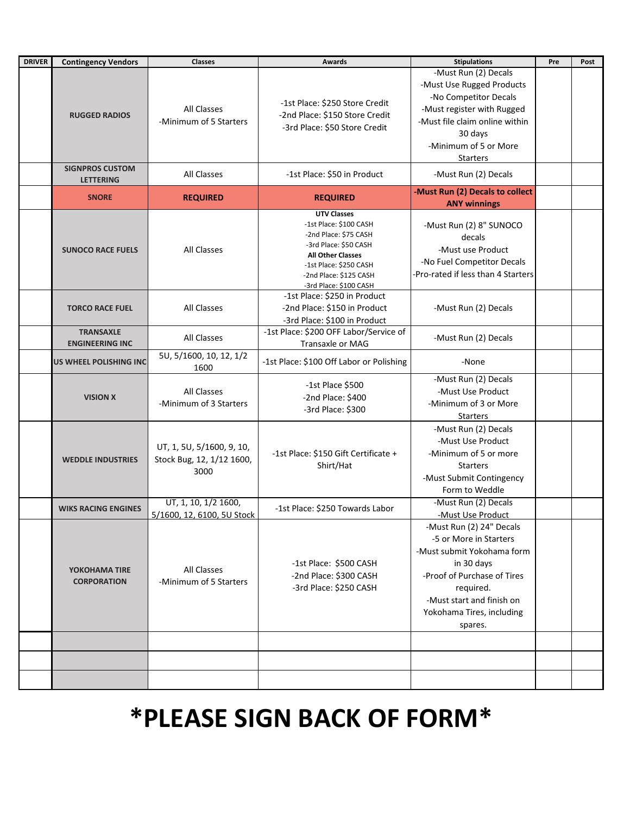| <b>DRIVER</b> | <b>Contingency Vendors</b>          | Classes                                                        | <b>Awards</b>                                                              | <b>Stipulations</b>                | Pre | Post |
|---------------|-------------------------------------|----------------------------------------------------------------|----------------------------------------------------------------------------|------------------------------------|-----|------|
|               |                                     |                                                                |                                                                            | -Must Run (2) Decals               |     |      |
|               |                                     |                                                                |                                                                            | -Must Use Rugged Products          |     |      |
|               |                                     |                                                                |                                                                            | -No Competitor Decals              |     |      |
|               |                                     | <b>All Classes</b>                                             | -1st Place: \$250 Store Credit                                             | -Must register with Rugged         |     |      |
|               | <b>RUGGED RADIOS</b>                | -Minimum of 5 Starters                                         | -2nd Place: \$150 Store Credit                                             | -Must file claim online within     |     |      |
|               |                                     |                                                                | -3rd Place: \$50 Store Credit                                              | 30 days                            |     |      |
|               |                                     |                                                                |                                                                            | -Minimum of 5 or More              |     |      |
|               |                                     |                                                                |                                                                            |                                    |     |      |
|               | <b>SIGNPROS CUSTOM</b>              |                                                                |                                                                            | <b>Starters</b>                    |     |      |
|               | <b>LETTERING</b>                    | All Classes                                                    | -1st Place: \$50 in Product                                                | -Must Run (2) Decals               |     |      |
|               | <b>SNORE</b>                        | <b>REQUIRED</b>                                                | <b>REQUIRED</b>                                                            | -Must Run (2) Decals to collect    |     |      |
|               |                                     |                                                                |                                                                            | <b>ANY winnings</b>                |     |      |
|               |                                     |                                                                | <b>UTV Classes</b>                                                         |                                    |     |      |
|               |                                     |                                                                | -1st Place: \$100 CASH                                                     | -Must Run (2) 8" SUNOCO            |     |      |
|               |                                     |                                                                | -2nd Place: \$75 CASH                                                      | decals                             |     |      |
|               | <b>SUNOCO RACE FUELS</b>            | <b>All Classes</b>                                             | -3rd Place: \$50 CASH<br><b>All Other Classes</b>                          | -Must use Product                  |     |      |
|               |                                     |                                                                | -1st Place: \$250 CASH                                                     | -No Fuel Competitor Decals         |     |      |
|               |                                     |                                                                | -2nd Place: \$125 CASH                                                     | -Pro-rated if less than 4 Starters |     |      |
|               |                                     |                                                                | -3rd Place: \$100 CASH                                                     |                                    |     |      |
|               |                                     |                                                                | -1st Place: \$250 in Product                                               |                                    |     |      |
|               | <b>TORCO RACE FUEL</b>              | <b>All Classes</b>                                             | -2nd Place: \$150 in Product                                               | -Must Run (2) Decals               |     |      |
|               |                                     |                                                                | -3rd Place: \$100 in Product                                               |                                    |     |      |
|               | <b>TRANSAXLE</b>                    |                                                                | -1st Place: \$200 OFF Labor/Service of                                     |                                    |     |      |
|               | <b>ENGINEERING INC</b>              | All Classes                                                    | Transaxle or MAG                                                           | -Must Run (2) Decals               |     |      |
|               |                                     | 5U, 5/1600, 10, 12, 1/2                                        |                                                                            |                                    |     |      |
|               | US WHEEL POLISHING INC              | 1600                                                           | -1st Place: \$100 Off Labor or Polishing                                   | -None                              |     |      |
|               | <b>VISION X</b>                     | All Classes<br>-Minimum of 3 Starters                          |                                                                            | -Must Run (2) Decals               |     |      |
|               |                                     |                                                                | -1st Place \$500                                                           | -Must Use Product                  |     |      |
|               |                                     |                                                                | -2nd Place: \$400                                                          | -Minimum of 3 or More              |     |      |
|               |                                     |                                                                | -3rd Place: \$300                                                          | <b>Starters</b>                    |     |      |
|               |                                     |                                                                |                                                                            |                                    |     |      |
|               | <b>WEDDLE INDUSTRIES</b>            | UT, 1, 5U, 5/1600, 9, 10,<br>Stock Bug, 12, 1/12 1600,<br>3000 | -1st Place: \$150 Gift Certificate +<br>Shirt/Hat                          | -Must Run (2) Decals               |     |      |
|               |                                     |                                                                |                                                                            | -Must Use Product                  |     |      |
|               |                                     |                                                                |                                                                            | -Minimum of 5 or more              |     |      |
|               |                                     |                                                                |                                                                            | <b>Starters</b>                    |     |      |
|               |                                     |                                                                |                                                                            | -Must Submit Contingency           |     |      |
|               |                                     |                                                                |                                                                            | Form to Weddle                     |     |      |
|               |                                     | UT, 1, 10, 1/2 1600,                                           |                                                                            | -Must Run (2) Decals               |     |      |
|               | <b>WIKS RACING ENGINES</b>          | 5/1600, 12, 6100, 5U Stock                                     | -1st Place: \$250 Towards Labor                                            | -Must Use Product                  |     |      |
|               |                                     |                                                                |                                                                            | -Must Run (2) 24" Decals           |     |      |
|               | YOKOHAMA TIRE<br><b>CORPORATION</b> | All Classes<br>-Minimum of 5 Starters                          | -1st Place: \$500 CASH<br>-2nd Place: \$300 CASH<br>-3rd Place: \$250 CASH | -5 or More in Starters             |     |      |
|               |                                     |                                                                |                                                                            | -Must submit Yokohama form         |     |      |
|               |                                     |                                                                |                                                                            | in 30 days                         |     |      |
|               |                                     |                                                                |                                                                            |                                    |     |      |
|               |                                     |                                                                |                                                                            | -Proof of Purchase of Tires        |     |      |
|               |                                     |                                                                |                                                                            | reauired.                          |     |      |
|               |                                     |                                                                |                                                                            | -Must start and finish on          |     |      |
|               |                                     |                                                                |                                                                            | Yokohama Tires, including          |     |      |
|               |                                     |                                                                |                                                                            | spares.                            |     |      |
|               |                                     |                                                                |                                                                            |                                    |     |      |
|               |                                     |                                                                |                                                                            |                                    |     |      |
|               |                                     |                                                                |                                                                            |                                    |     |      |
|               |                                     |                                                                |                                                                            |                                    |     |      |

## **\*PLEASE SIGN BACK OF FORM\***